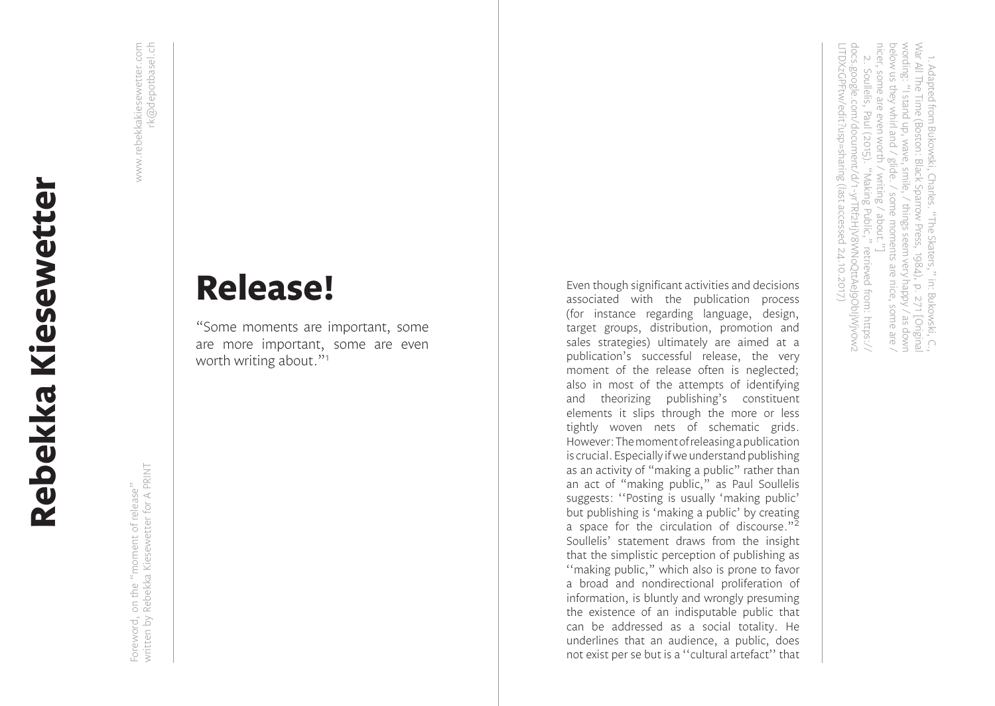## **Release!**

"Some moments are important, some are more important, some are even worth writing about."<sup>1</sup>

Even though significant activities and decisions associated with the publication process (for instance regarding language, design, target groups, distribution, promotion and sales strategies) ultimately are aimed at a publication's successful release, the very moment of the release often is neglected; also in most of the attempts of identifying and theorizing publishing's constituent elements it slips through the more or less tightly woven nets of schematic grids. However: The moment of releasing a publication is crucial. Especially if we understand publishing as an activity of "making a public" rather than an act of "making public," as Paul Soullelis suggests: ''Posting is usually 'making public' but publishing is 'making a public' by creating a space for the circulation of discourse."<sup>2</sup> Soullelis' statement draws from the insight that the simplistic perception of publishing as ''making public," which also is prone to favor a broad and nondirectional proliferation of information, is bluntly and wrongly presuming the existence of an indisputable public that can be addressed as a social totality. He underlines that an audience, a public, does not exist per se but is a ''cultural artefact'' that

octow as utey writti and 7 giude: 7 soute motive<br>nicer, some are even worth / writing / about."<br>2. Soullelis, Paul (2015). "Making Public," War All The Time (Boston: Black Sparrow Press, 1984), p. 271 [Original<br>wording: "I stand up, wave, smile, / things seem very happy / as down 2. Soullelis, Paul (2015). "Making Public," retrieved from: https:// below us they whirl and / glide. / some moments are nice, some are / War All The Time (Boston: Black Sparrow Press, 1984), p. 271 [Original 1. Adapted from Bukowski, Charles. "The Skaters," in: Bukowski, C., nicer, some are even worth / writing / about."] below us they whirl and / glide. / some moments are nice, some are / wording: "I stand up, wave, smile, / things seem very happy / as down 1. Adapted from Bukowski, Charles. "The Skaters," in: Bukowski, C. Soullelis, Paul (2015). "Making Public, "主" retrieved from: https://

LITDXzGPFtw/edit?usp=sharing (last accessed 24.10.2017)

24.10.2017)

LITDXzGPFtw/edit?usp=sharing (last accessed

docs.google.com/document/d/1-yrTRf2HjV8WNoQttAeJ9ObIjWjv0w2

docs.google.com/document/d/1-yrTRf2HjV8WNoQttAeJ9ObljWjv0w2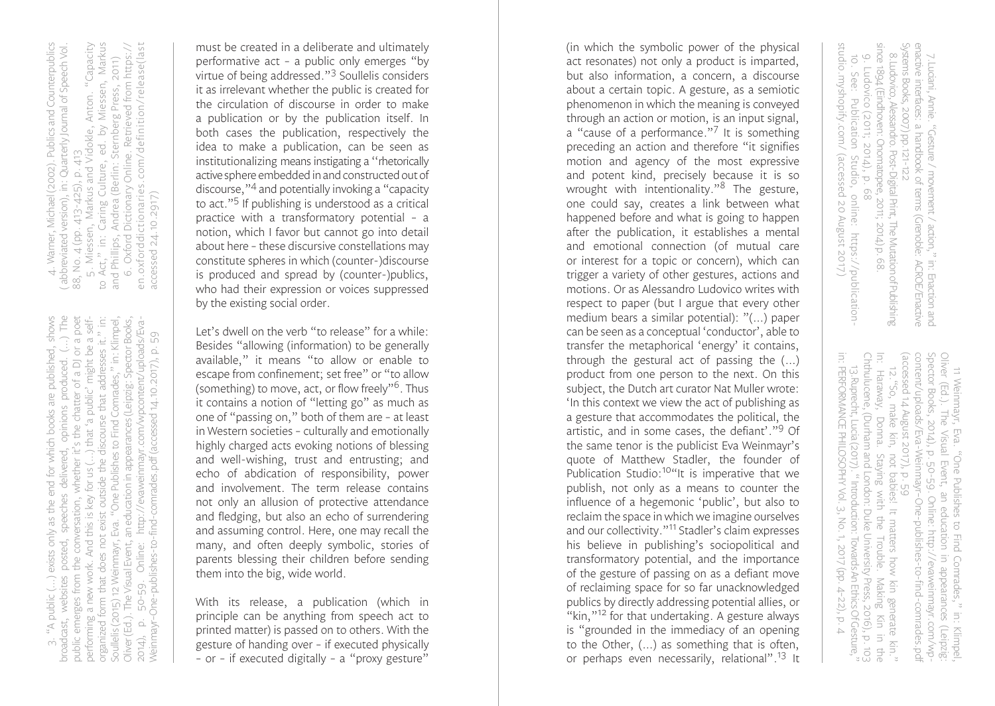4. Warner, Michael (2002). Publics and Counterpublics ( abbreviated version), in: Quarterly Journal of Speech Vol. Publics and Counterpublics 4. Warner, Michael (2002). Publics and Counterpublics<br>( abbreviated version), in: Quarterly Journal of Speech Vol.

 5. Miessen, Markus and Vidokle, Anton. "Capacity to Act," in: Caring Culture, ed. by Miessen, Markus Anton. "Capacity to Āct," in: Caring Culture, ed. by Miessen, Markus<br>and Phillips, Andrea (Berlin: Sternberg Press, 2011)<br>6. Oxford Dictionary Online. Retrieved from https:// 6. Oxford Dictionary Online. Retrieved from https:// and Phillips, Andrea (Berlin: Sternberg Press, 2011) 5. Miessen, Markus and Vidokle, *A*<br>Act," in: Caring Culture, ed. by I<br>d Phillios. Andrea (Berlin: Sternber 88, No. 4 (pp. 413-425), p. 413 88, No. 4 (pp. 413-425), p. 413

en.oxforddictionaries.com/definition/release(last en.oxforddictionaries.com/definition/release(last accessed 24.10.2917) accessed 24.10.2917) 3. "A public (…) exists only as the end for which books are published, shows broadcast, websites posted, speeches delivered, opinions produced. (…) The public emerges from the conversation, whether it's the chatter of a DJ or a poet organized form that does not exist outside the discourse that addresses it." in: Soullelis (2015) 12 Weinmayr, Eva. "One Publishes to Find Comrades," in: Klimpel, Oliver (Ed.). The Visual Event, an education in appearances (Leipzig: Spector Books, as the end for which books are published, shows broadcast, websites posted, speeches delivered, opinions produced. (...) The<br>public emerges from the conversation, whether it's the chatter of a DJ or a poet organized form that does not exist outside the discourse that addresses it." in:<br>Soullelis (2015) 12 Weinmayr, Eva. "One Publishes to Find Comrades," in: Klimpel,<br>Oliver (Ed.). The Visual Event, an education in appearances that 'a public' might be a selfperforming a new work. And this is key for us (…) that 'a public' might be a self-2014), p. 50-59. Online: http://evaweinmayr.com/wpcontent/uploads/Eva-Weinmayr–One-publishes-to-find-comrades.pdf (accessed 14.10.2017), p. 59 performing a new work. And this is key for us (...) (...) exists only public  $|\forall$  )  $\dot{\cap}$ 

must be created in a deliberate and ultimately performative act – a public only emerges "by virtue of being addressed." 3 Soullelis considers it as irrelevant whether the public is created for the circulation of discourse in order to make a publication or by the publication itself. In both cases the publication, respectively the idea to make a publication, can be seen as institutionalizing means instigating a ''rhetorically active sphere embedded in and constructed out of discourse," 4 and potentially invoking a "capacity to act." 5 If publishing is understood as a critical practice with a transformatory potential – a notion, which I favor but cannot go into detail about here – these discursive constellations may constitute spheres in which (counter-)discourse is produced and spread by (counter-)publics, who had their expression or voices suppressed by the existing social order.

Let's dwell on the verb "to release" for a while: Besides "allowing (information) to be generally available," it means "to allow or enable to escape from confinement; set free" or "to allow (something) to move, act, or flow freely"<sup>6</sup>. Thus it contains a notion of "letting go" as much as one of "passing on," both of them are – at least in Western societies – culturally and emotionally highly charged acts evoking notions of blessing and well-wishing, trust and entrusting; and echo of abdication of responsibility, power and involvement. The term release contains not only an allusion of protective attendance and fledging, but also an echo of surrendering and assuming control. Here, one may recall the many, and often deeply symbolic, stories of parents blessing their children before sending them into the big, wide world.

With its release, a publication (which in principle can be anything from speech act to printed matter) is passed on to others. With the gesture of handing over – if executed physically – or – if executed digitally – a "proxy gesture"

(in which the symbolic power of the physical act resonates) not only a product is imparted, but also information, a concern, a discourse about a certain topic. A gesture, as a semiotic phenomenon in which the meaning is conveyed through an action or motion, is an input signal, a "cause of a performance."<sup>7</sup> It is something preceding an action and therefore "it signifies motion and agency of the most expressive and potent kind, precisely because it is so wrought with intentionality." 8 The gesture, one could say, creates a link between what happened before and what is going to happen after the publication, it establishes a mental and emotional connection (of mutual care or interest for a topic or concern), which can trigger a variety of other gestures, actions and motions. Or as Alessandro Ludovico writes with respect to paper (but I argue that every other medium bears a similar potential): "(…) paper can be seen as a conceptual 'conductor', able to transfer the metaphorical 'energy' it contains, through the gestural act of passing the (…) product from one person to the next. On this subject, the Dutch art curator Nat Muller wrote: 'In this context we view the act of publishing as a gesture that accommodates the political, the artistic, and in some cases, the defiant'." 9 Of the same tenor is the publicist Eva Weinmayr's quote of Matthew Stadler, the founder of Publication Studio:<sup>10"</sup>It is imperative that we publish, not only as a means to counter the influence of a hegemonic 'public', but also to reclaim the space in which we imagine ourselves and our collectivity."11 Stadler's claim expresses his believe in publishing's sociopolitical and transformatory potential, and the importance of the gesture of passing on as a defiant move of reclaiming space for so far unacknowledged publics by directly addressing potential allies, or "kin,"<sup>12</sup> for that undertaking. A gesture always is "grounded in the immediacy of an opening to the Other, (…) as something that is often, or perhaps even necessarily, relational".<sup>13</sup> It

since 1894 (Eindhoven: Onomatopee, 2011; 2014) p. 68 enactive interfaces: a handbook of terms (Grenoble: ACROE/Enactive<br>Systems Books, 2007) pp.121-122<br>8.Ludovico, Alessandro. Post-Digital Print, The Mutation of Publishing 8.Ludovico, Alessandro. Post-Digital Print, The Mutation of Publishing 7.Luciani, Annie. "Gesture / movement / action," in: Enaction and since 1894 (Eindhoven: Onomatopee, 2011; 2014) p. 68. Systems Books, 2007) pp.121-122 enactive interfaces: a handbook of terms (Grenoble: ACROE/Enactive 7. Luciani, Annie. "Gesture / movement / action," in: Enaction and In: Haraway, Donna. Staying with the Trouble. Making Kin in the

studio.myshopify.com/ (accessed 20 August 2017)

studio.myshopify.com/ (accessed 20 August 2017)

in: PERFORMANCE PHILOSOPHY Vol. 3, No. 1, 2017 (pp. 4–22), p. 4 13.Ruprecht, Lucia (2017). " Introduction: Towards An Ethics Of Gesture," Chthulucene, (Durham and London: Duke University Press, 2016), p. 103

in: PERFORMANCE PHILOSOPHY Vol. 3, No. 1, 2017 (pp. 4-22), p. 4

10. See: Publication Studio, online: https://publication-

9. Ludovico (2011; 2014), p. 68<br>10. See: Publication Studio, online: https://publication-

9. Ludovico (2011; 2014), p. 68

(accessed 14 August 2017), p. 59<br>12. "So, make kin, not babies! It matters how kin generate kin."<br>In: Haraway, Doma. Staying with the Trouble. Making Kin in the<br>Chthulucene, (Durham and London: Duke University Press, 2016 content/uploads/Eva-Weinmayr-One-publishes-to-find-comrades.pdf Spector Books, 2014), p. 50-59. Online: http://evaweinmayr.com/wp-Oliver (Ed.). The Visual Event, 12."So, make kin, not babies! It matters how kin generate kin." (accessed 14 August 2017), p. 59 content/uploads/Eva-Weinmayr–One-publishes-to-find-comrades.pdf Spector Books, 2014), p. 50-59. Online: http://evaweinmayr.com/wp-Oliver (Ed.). The Visual Event, an education in appearances (Leipzig: 11 Weinmayr, Eva. "One Publishes to Find Comrades," in: Klimpel, 11 Weinmayr, Eva. "One Publishes to Find Comrades," in: Klimpel,<br>wer (Ed.). The Visual Event, an education in appearances (Leipzig: